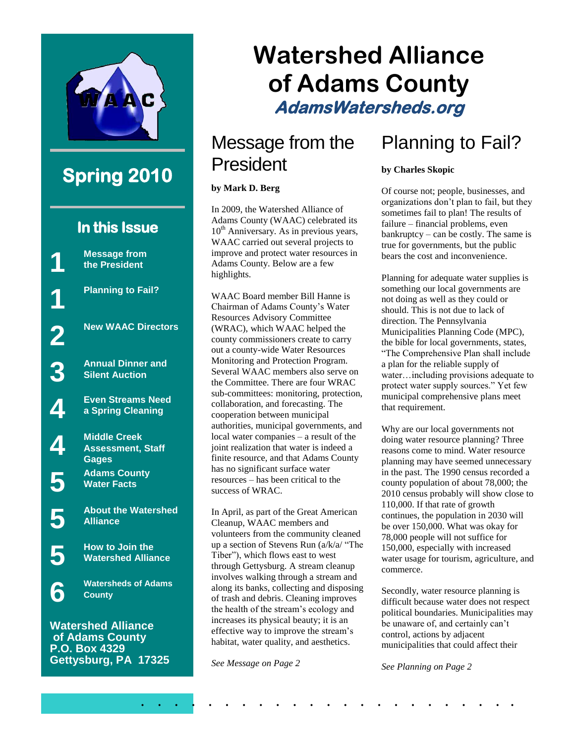

### **Spring 2010**

### **In this Issue**

**Message from the President**

**1**

**1**

**2**

**3**

**4**

**4**

**5**

**5**

**5**

**6**

**Planning to Fail?**

**New WAAC Directors**

**Annual Dinner and Silent Auction**

**Even Streams Need a Spring Cleaning**

**Middle Creek Assessment, Staff Gages Adams County Water Facts**

**About the Watershed Alliance**

**How to Join the Watershed Alliance**

**Watersheds of Adams County**

**Watershed Alliance of Adams County P.O. Box 4329 Gettysburg, PA 17325**

# **Watershed Alliance of Adams County AdamsWatersheds.org**

### Message from the President

#### **by Mark D. Berg**

In 2009, the Watershed Alliance of Adams County (WAAC) celebrated its  $10<sup>th</sup>$  Anniversary. As in previous years, WAAC carried out several projects to improve and protect water resources in Adams County. Below are a few highlights.

WAAC Board member Bill Hanne is Chairman of Adams County's Water Resources Advisory Committee (WRAC), which WAAC helped the county commissioners create to carry out a county-wide Water Resources Monitoring and Protection Program. Several WAAC members also serve on the Committee. There are four WRAC sub-committees: monitoring, protection, collaboration, and forecasting. The cooperation between municipal authorities, municipal governments, and local water companies – a result of the joint realization that water is indeed a finite resource, and that Adams County has no significant surface water resources – has been critical to the success of WRAC.

In April, as part of the Great American Cleanup, WAAC members and volunteers from the community cleaned up a section of Stevens Run  $(a/k/a)$  "The Tiber"), which flows east to west through Gettysburg. A stream cleanup involves walking through a stream and along its banks, collecting and disposing of trash and debris. Cleaning improves the health of the stream's ecology and increases its physical beauty; it is an effective way to improve the stream's habitat, water quality, and aesthetics.

. . . . . . . . . . . . . . . . . . . . . . .

*See Message on Page 2*

### Planning to Fail?

#### **by Charles Skopic**

Of course not; people, businesses, and organizations don't plan to fail, but they sometimes fail to plan! The results of failure – financial problems, even bankruptcy – can be costly. The same is true for governments, but the public bears the cost and inconvenience.

Planning for adequate water supplies is something our local governments are not doing as well as they could or should. This is not due to lack of direction. The Pennsylvania Municipalities Planning Code (MPC), the bible for local governments, states, ―The Comprehensive Plan shall include a plan for the reliable supply of water…including provisions adequate to protect water supply sources." Yet few municipal comprehensive plans meet that requirement.

Why are our local governments not doing water resource planning? Three reasons come to mind. Water resource planning may have seemed unnecessary in the past. The 1990 census recorded a county population of about 78,000; the 2010 census probably will show close to 110,000. If that rate of growth continues, the population in 2030 will be over 150,000. What was okay for 78,000 people will not suffice for 150,000, especially with increased water usage for tourism, agriculture, and commerce.

Secondly, water resource planning is difficult because water does not respect political boundaries. Municipalities may be unaware of, and certainly can't control, actions by adjacent municipalities that could affect their

*See Planning on Page 2*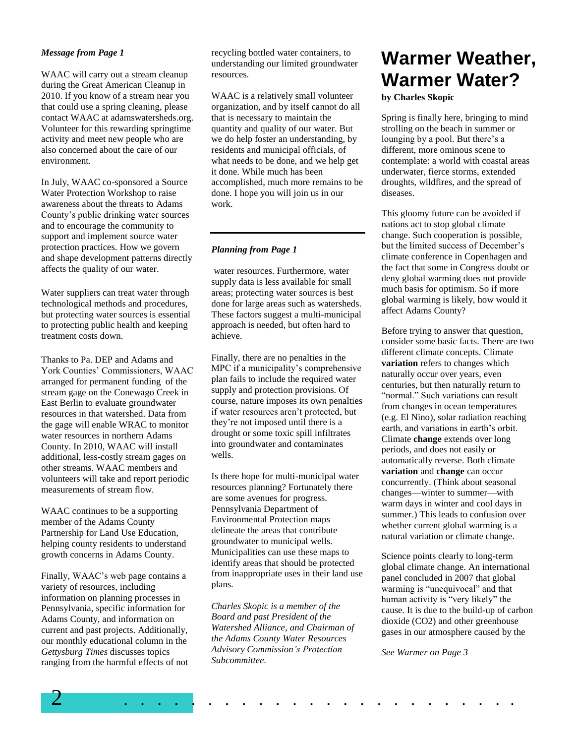#### *Message from Page 1*

WAAC will carry out a stream cleanup during the Great American Cleanup in 2010. If you know of a stream near you that could use a spring cleaning, please contact WAAC at adamswatersheds.org. Volunteer for this rewarding springtime activity and meet new people who are also concerned about the care of our environment.

In July, WAAC co-sponsored a Source Water Protection Workshop to raise awareness about the threats to Adams County's public drinking water sources and to encourage the community to support and implement source water protection practices. How we govern and shape development patterns directly affects the quality of our water.

Water suppliers can treat water through technological methods and procedures, but protecting water sources is essential to protecting public health and keeping treatment costs down.

Thanks to Pa. DEP and Adams and York Counties' Commissioners, WAAC arranged for permanent funding of the stream gage on the Conewago Creek in East Berlin to evaluate groundwater resources in that watershed. Data from the gage will enable WRAC to monitor water resources in northern Adams County. In 2010, WAAC will install additional, less-costly stream gages on other streams. WAAC members and volunteers will take and report periodic measurements of stream flow.

WAAC continues to be a supporting member of the Adams County Partnership for Land Use Education, helping county residents to understand growth concerns in Adams County.

Finally, WAAC's web page contains a variety of resources, including information on planning processes in Pennsylvania, specific information for Adams County, and information on current and past projects. Additionally, our monthly educational column in the *Gettysburg Times* discusses topics ranging from the harmful effects of not recycling bottled water containers, to understanding our limited groundwater resources.

WAAC is a relatively small volunteer organization, and by itself cannot do all that is necessary to maintain the quantity and quality of our water. But we do help foster an understanding, by residents and municipal officials, of what needs to be done, and we help get it done. While much has been accomplished, much more remains to be done. I hope you will join us in our work.

#### *Planning from Page 1*

water resources. Furthermore, water supply data is less available for small areas; protecting water sources is best done for large areas such as watersheds. These factors suggest a multi-municipal approach is needed, but often hard to achieve.

Finally, there are no penalties in the MPC if a municipality's comprehensive plan fails to include the required water supply and protection provisions. Of course, nature imposes its own penalties if water resources aren't protected, but they're not imposed until there is a drought or some toxic spill infiltrates into groundwater and contaminates wells.

Is there hope for multi-municipal water resources planning? Fortunately there are some avenues for progress. Pennsylvania Department of Environmental Protection maps delineate the areas that contribute groundwater to municipal wells. Municipalities can use these maps to identify areas that should be protected from inappropriate uses in their land use plans.

*Charles Skopic is a member of the Board and past President of the Watershed Alliance, and Chairman of the Adams County Water Resources Advisory Commission's Protection Subcommittee.*

## **Warmer Weather, Warmer Water?**

**by Charles Skopic**

Spring is finally here, bringing to mind strolling on the beach in summer or lounging by a pool. But there's a different, more ominous scene to contemplate: a world with coastal areas underwater, fierce storms, extended droughts, wildfires, and the spread of diseases.

This gloomy future can be avoided if nations act to stop global climate change. Such cooperation is possible, but the limited success of December's climate conference in Copenhagen and the fact that some in Congress doubt or deny global warming does not provide much basis for optimism. So if more global warming is likely, how would it affect Adams County?

Before trying to answer that question, consider some basic facts. There are two different climate concepts. Climate **variation** refers to changes which naturally occur over years, even centuries, but then naturally return to "normal." Such variations can result from changes in ocean temperatures (e.g. El Nino), solar radiation reaching earth, and variations in earth's orbit. Climate **change** extends over long periods, and does not easily or automatically reverse. Both climate **variation** and **change** can occur concurrently. (Think about seasonal changes—winter to summer—with warm days in winter and cool days in summer.) This leads to confusion over whether current global warming is a natural variation or climate change.

Science points clearly to long-term global climate change. An international panel concluded in 2007 that global warming is "unequivocal" and that human activity is "very likely" the cause. It is due to the build-up of carbon dioxide (CO2) and other greenhouse gases in our atmosphere caused by the

*See Warmer on Page 3*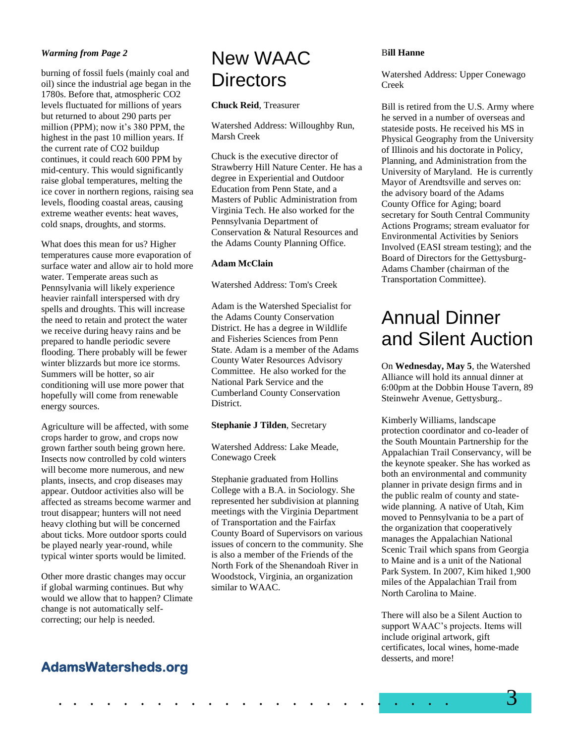#### *Warming from Page 2*

burning of fossil fuels (mainly coal and oil) since the industrial age began in the 1780s. Before that, atmospheric CO2 levels fluctuated for millions of years but returned to about 290 parts per million (PPM); now it's 380 PPM, the highest in the past 10 million years. If the current rate of CO2 buildup continues, it could reach 600 PPM by mid-century. This would significantly raise global temperatures, melting the ice cover in northern regions, raising sea levels, flooding coastal areas, causing extreme weather events: heat waves, cold snaps, droughts, and storms.

What does this mean for us? Higher temperatures cause more evaporation of surface water and allow air to hold more water. Temperate areas such as Pennsylvania will likely experience heavier rainfall interspersed with dry spells and droughts. This will increase the need to retain and protect the water we receive during heavy rains and be prepared to handle periodic severe flooding. There probably will be fewer winter blizzards but more ice storms. Summers will be hotter, so air conditioning will use more power that hopefully will come from renewable energy sources.

Agriculture will be affected, with some crops harder to grow, and crops now grown farther south being grown here. Insects now controlled by cold winters will become more numerous, and new plants, insects, and crop diseases may appear. Outdoor activities also will be affected as streams become warmer and trout disappear; hunters will not need heavy clothing but will be concerned about ticks. More outdoor sports could be played nearly year-round, while typical winter sports would be limited.

Other more drastic changes may occur if global warming continues. But why would we allow that to happen? Climate change is not automatically selfcorrecting; our help is needed.

### New WAAC **Directors**

#### **Chuck Reid**, Treasurer

Watershed Address: Willoughby Run, Marsh Creek

Chuck is the executive director of Strawberry Hill Nature Center. He has a degree in Experiential and Outdoor Education from Penn State, and a Masters of Public Administration from Virginia Tech. He also worked for the Pennsylvania Department of Conservation & Natural Resources and the Adams County Planning Office.

#### **Adam McClain**

Watershed Address: Tom's Creek

Adam is the Watershed Specialist for the Adams County Conservation District. He has a degree in Wildlife and Fisheries Sciences from Penn State. Adam is a member of the Adams County Water Resources Advisory Committee. He also worked for the National Park Service and the Cumberland County Conservation District.

#### **Stephanie J Tilden**, Secretary

Watershed Address: Lake Meade, Conewago Creek

Stephanie graduated from Hollins College with a B.A. in Sociology. She represented her subdivision at planning meetings with the Virginia Department of Transportation and the Fairfax County Board of Supervisors on various issues of concern to the community. She is also a member of the Friends of the North Fork of the Shenandoah River in Woodstock, Virginia, an organization similar to WAAC.

#### B**ill Hanne**

Watershed Address: Upper Conewago Creek

Bill is retired from the U.S. Army where he served in a number of overseas and stateside posts. He received his MS in Physical Geography from the University of Illinois and his doctorate in Policy, Planning, and Administration from the University of Maryland. He is currently Mayor of Arendtsville and serves on: the advisory board of the Adams County Office for Aging; board secretary for South Central Community Actions Programs; stream evaluator for Environmental Activities by Seniors Involved (EASI stream testing); and the Board of Directors for the Gettysburg-Adams Chamber (chairman of the Transportation Committee).

### Annual Dinner and Silent Auction

On **Wednesday, May 5**, the Watershed Alliance will hold its annual dinner at 6:00pm at the Dobbin House Tavern, 89 Steinwehr Avenue, Gettysburg..

Kimberly Williams, landscape protection coordinator and co-leader of the South Mountain Partnership for the Appalachian Trail Conservancy, will be the keynote speaker. She has worked as both an environmental and community planner in private design firms and in the public realm of county and statewide planning. A native of Utah, Kim moved to Pennsylvania to be a part of the organization that cooperatively manages the Appalachian National Scenic Trail which spans from Georgia to Maine and is a unit of the National Park System. In 2007, Kim hiked 1,900 miles of the Appalachian Trail from North Carolina to Maine.

There will also be a Silent Auction to support WAAC's projects. Items will include original artwork, gift certificates, local wines, home-made desserts, and more!

### **AdamsWatersheds.org**

. . . . . . . . . . . . . . . . . . . . . . . . 3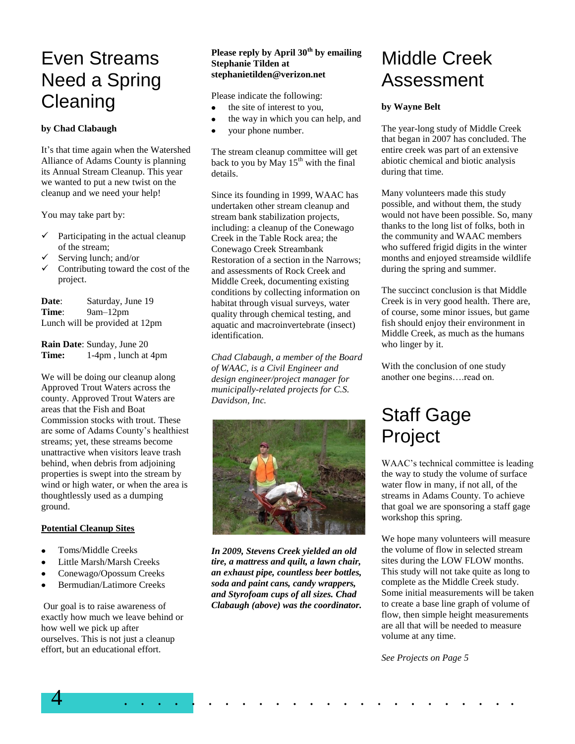### Even Streams Need a Spring **Cleaning**

#### **by Chad Clabaugh**

It's that time again when the Watershed Alliance of Adams County is planning its Annual Stream Cleanup. This year we wanted to put a new twist on the cleanup and we need your help!

You may take part by:

- $\checkmark$  Participating in the actual cleanup of the stream;
- Serving lunch; and/or
- Contributing toward the cost of the project.

**Date**: Saturday, June 19 **Time**: 9am–12pm Lunch will be provided at 12pm

**Rain Date**: Sunday, June 20 **Time:** 1-4pm , lunch at 4pm

We will be doing our cleanup along Approved Trout Waters across the county. Approved Trout Waters are areas that the Fish and Boat Commission stocks with trout. These are some of Adams County's healthiest streams; yet, these streams become unattractive when visitors leave trash behind, when debris from adjoining properties is swept into the stream by wind or high water, or when the area is thoughtlessly used as a dumping ground.

#### **Potential Cleanup Sites**

- Toms/Middle Creeks  $\bullet$
- $\bullet$ Little Marsh/Marsh Creeks
- Conewago/Opossum Creeks
- Bermudian/Latimore Creeks

Our goal is to raise awareness of exactly how much we leave behind or how well we pick up after ourselves. This is not just a cleanup effort, but an educational effort.

#### **Please reply by April 30th by emailing Stephanie Tilden at stephanietilden@verizon.net**

Please indicate the following:

- the site of interest to you,  $\bullet$
- the way in which you can help, and
- your phone number.

The stream cleanup committee will get back to you by May  $15<sup>th</sup>$  with the final details.

Since its founding in 1999, WAAC has undertaken other stream cleanup and stream bank stabilization projects, including: a cleanup of the Conewago Creek in the Table Rock area; the Conewago Creek Streambank Restoration of a section in the Narrows; and assessments of Rock Creek and Middle Creek, documenting existing conditions by collecting information on habitat through visual surveys, water quality through chemical testing, and aquatic and macroinvertebrate (insect) identification.

*Chad Clabaugh, a member of the Board of WAAC, is a Civil Engineer and design engineer/project manager for municipally-related projects for C.S. Davidson, Inc.*



*In 2009, Stevens Creek yielded an old tire, a mattress and quilt, a lawn chair, an exhaust pipe, countless beer bottles, soda and paint cans, candy wrappers, and Styrofoam cups of all sizes. Chad Clabaugh (above) was the coordinator.*

4 . . . . . . . . . . . . . . . . . . . . . . . .

### Middle Creek Assessment

#### **by Wayne Belt**

The year-long study of Middle Creek that began in 2007 has concluded. The entire creek was part of an extensive abiotic chemical and biotic analysis during that time.

Many volunteers made this study possible, and without them, the study would not have been possible. So, many thanks to the long list of folks, both in the community and WAAC members who suffered frigid digits in the winter months and enjoyed streamside wildlife during the spring and summer.

The succinct conclusion is that Middle Creek is in very good health. There are, of course, some minor issues, but game fish should enjoy their environment in Middle Creek, as much as the humans who linger by it.

With the conclusion of one study another one begins….read on.

## Staff Gage Project

WAAC's technical committee is leading the way to study the volume of surface water flow in many, if not all, of the streams in Adams County. To achieve that goal we are sponsoring a staff gage workshop this spring.

We hope many volunteers will measure the volume of flow in selected stream sites during the LOW FLOW months. This study will not take quite as long to complete as the Middle Creek study. Some initial measurements will be taken to create a base line graph of volume of flow, then simple height measurements are all that will be needed to measure volume at any time.

*See Projects on Page 5*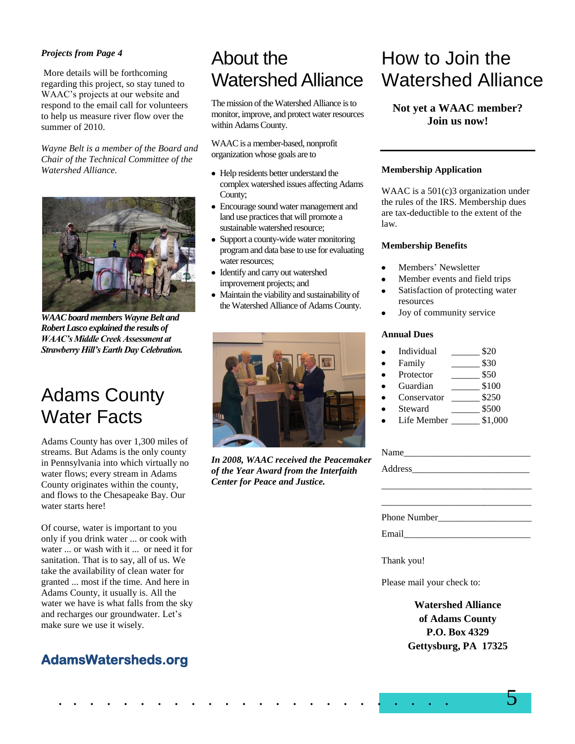#### *Projects from Page 4*

More details will be forthcoming regarding this project, so stay tuned to WAAC's projects at our website and respond to the email call for volunteers to help us measure river flow over the summer of 2010.

*Wayne Belt is a member of the Board and Chair of the Technical Committee of the Watershed Alliance.*



*WAAC board members Wayne Belt and Robert Lasco explained the results of WAAC's Middle Creek Assessment at Strawberry Hill's Earth Day Celebration.*

### Adams County Water Facts

Adams County has over 1,300 miles of streams. But Adams is the only county in Pennsylvania into which virtually no water flows; every stream in Adams County originates within the county, and flows to the Chesapeake Bay. Our water starts here!

Of course, water is important to you only if you drink water ... or cook with water ... or wash with it ... or need it for sanitation. That is to say, all of us. We take the availability of clean water for granted ... most if the time. And here in Adams County, it usually is. All the water we have is what falls from the sky and recharges our groundwater. Let's make sure we use it wisely.

### **AdamsWatersheds.org**

## About the Watershed Alliance

The mission of the Watershed Alliance is to monitor, improve, and protect water resources within Adams County.

WAAC is a member-based, nonprofit organization whose goals are to

- Help residents better understand the complex watershed issues affecting Adams County;
- Encourage sound water management and land use practices that will promote a sustainable watershed resource;
- Support a county-wide water monitoring program and data base to use for evaluating water resources;
- Identify and carry out watershed improvement projects; and
- Maintain the viability and sustainability of the Watershed Alliance of Adams County.



*In 2008, WAAC received the Peacemaker of the Year Award from the Interfaith Center for Peace and Justice.*

### How to Join the Watershed Alliance

#### **Not yet a WAAC member? Join us now!**

#### **Membership Application**

WAAC is a 501(c)3 organization under the rules of the IRS. Membership dues are tax-deductible to the extent of the law.

#### **Membership Benefits**

- Members' Newsletter
- Member events and field trips
- Satisfaction of protecting water resources
- Joy of community service

#### **Annual Dues**

- Individual \$20
- Family  $$30$
- Protector  $$50$
- Guardian \_\_\_\_\_ \$100
- Conservator \_\_\_\_\_\_ \$250
- Steward \_\_\_\_\_\_\_\_ \$500
- Life Member \_\_\_\_\_\_ \$1,000

| Name         |  |
|--------------|--|
|              |  |
|              |  |
|              |  |
|              |  |
| Phone Number |  |
|              |  |

Thank you!

Please mail your check to:

**Watershed Alliance of Adams County P.O. Box 4329 Gettysburg, PA 17325**